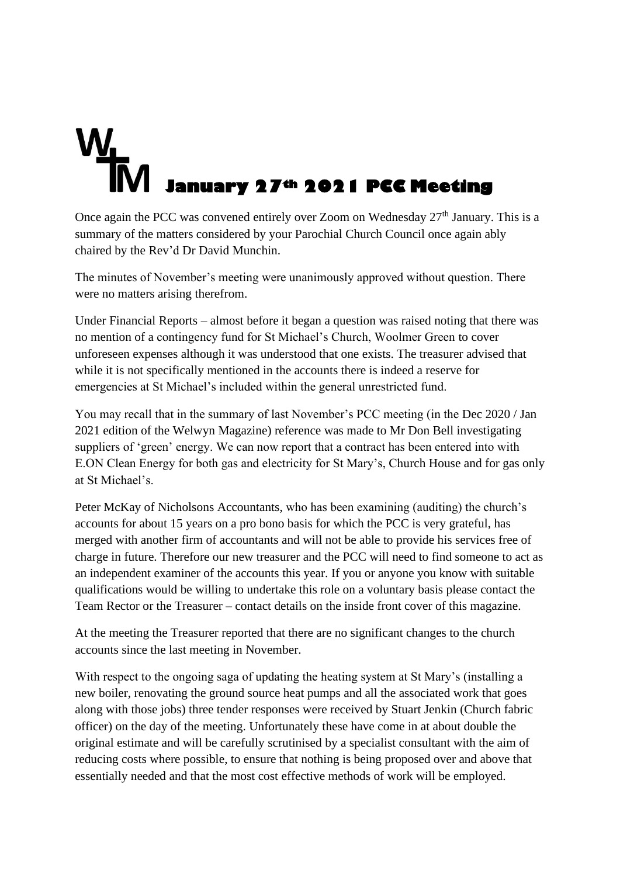## **January 27<sup>th</sup> 2021 PCC Meeting**<br> **January 27<sup>th</sup> 2021 PCC Meeting**

Once again the PCC was convened entirely over Zoom on Wednesday  $27<sup>th</sup>$  January. This is a summary of the matters considered by your Parochial Church Council once again ably chaired by the Rev'd Dr David Munchin.

The minutes of November's meeting were unanimously approved without question. There were no matters arising therefrom.

Under Financial Reports – almost before it began a question was raised noting that there was no mention of a contingency fund for St Michael's Church, Woolmer Green to cover unforeseen expenses although it was understood that one exists. The treasurer advised that while it is not specifically mentioned in the accounts there is indeed a reserve for emergencies at St Michael's included within the general unrestricted fund.

You may recall that in the summary of last November's PCC meeting (in the Dec 2020 / Jan 2021 edition of the Welwyn Magazine) reference was made to Mr Don Bell investigating suppliers of 'green' energy. We can now report that a contract has been entered into with E.ON Clean Energy for both gas and electricity for St Mary's, Church House and for gas only at St Michael's.

Peter McKay of Nicholsons Accountants, who has been examining (auditing) the church's accounts for about 15 years on a pro bono basis for which the PCC is very grateful, has merged with another firm of accountants and will not be able to provide his services free of charge in future. Therefore our new treasurer and the PCC will need to find someone to act as an independent examiner of the accounts this year. If you or anyone you know with suitable qualifications would be willing to undertake this role on a voluntary basis please contact the Team Rector or the Treasurer – contact details on the inside front cover of this magazine.

At the meeting the Treasurer reported that there are no significant changes to the church accounts since the last meeting in November.

With respect to the ongoing saga of updating the heating system at St Mary's (installing a new boiler, renovating the ground source heat pumps and all the associated work that goes along with those jobs) three tender responses were received by Stuart Jenkin (Church fabric officer) on the day of the meeting. Unfortunately these have come in at about double the original estimate and will be carefully scrutinised by a specialist consultant with the aim of reducing costs where possible, to ensure that nothing is being proposed over and above that essentially needed and that the most cost effective methods of work will be employed.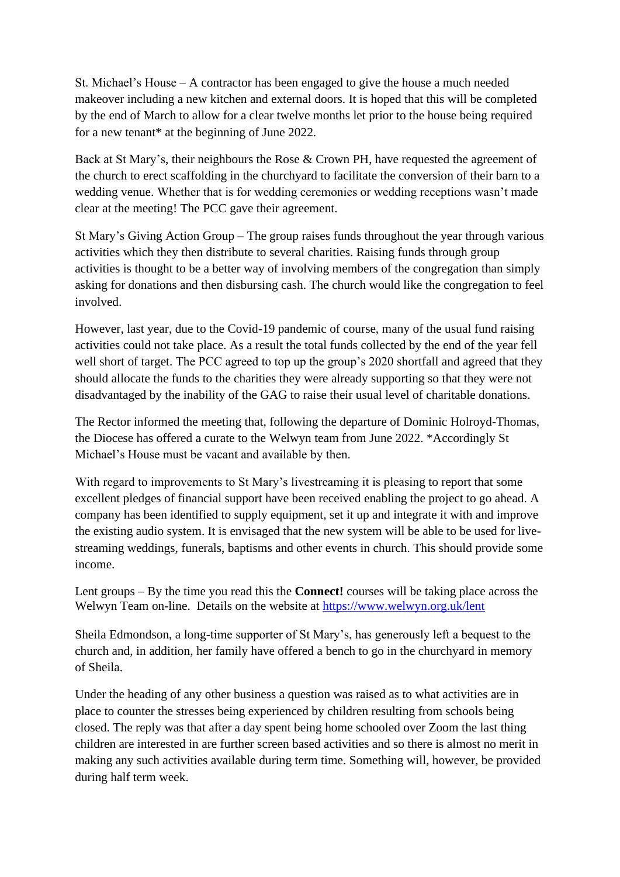St. Michael's House – A contractor has been engaged to give the house a much needed makeover including a new kitchen and external doors. It is hoped that this will be completed by the end of March to allow for a clear twelve months let prior to the house being required for a new tenant\* at the beginning of June 2022.

Back at St Mary's, their neighbours the Rose & Crown PH, have requested the agreement of the church to erect scaffolding in the churchyard to facilitate the conversion of their barn to a wedding venue. Whether that is for wedding ceremonies or wedding receptions wasn't made clear at the meeting! The PCC gave their agreement.

St Mary's Giving Action Group – The group raises funds throughout the year through various activities which they then distribute to several charities. Raising funds through group activities is thought to be a better way of involving members of the congregation than simply asking for donations and then disbursing cash. The church would like the congregation to feel involved.

However, last year, due to the Covid-19 pandemic of course, many of the usual fund raising activities could not take place. As a result the total funds collected by the end of the year fell well short of target. The PCC agreed to top up the group's 2020 shortfall and agreed that they should allocate the funds to the charities they were already supporting so that they were not disadvantaged by the inability of the GAG to raise their usual level of charitable donations.

The Rector informed the meeting that, following the departure of Dominic Holroyd-Thomas, the Diocese has offered a curate to the Welwyn team from June 2022. \*Accordingly St Michael's House must be vacant and available by then.

With regard to improvements to St Mary's livestreaming it is pleasing to report that some excellent pledges of financial support have been received enabling the project to go ahead. A company has been identified to supply equipment, set it up and integrate it with and improve the existing audio system. It is envisaged that the new system will be able to be used for livestreaming weddings, funerals, baptisms and other events in church. This should provide some income.

Lent groups – By the time you read this the **Connect!** courses will be taking place across the Welwyn Team on-line. Details on the website at<https://www.welwyn.org.uk/lent>

Sheila Edmondson, a long-time supporter of St Mary's, has generously left a bequest to the church and, in addition, her family have offered a bench to go in the churchyard in memory of Sheila.

Under the heading of any other business a question was raised as to what activities are in place to counter the stresses being experienced by children resulting from schools being closed. The reply was that after a day spent being home schooled over Zoom the last thing children are interested in are further screen based activities and so there is almost no merit in making any such activities available during term time. Something will, however, be provided during half term week.